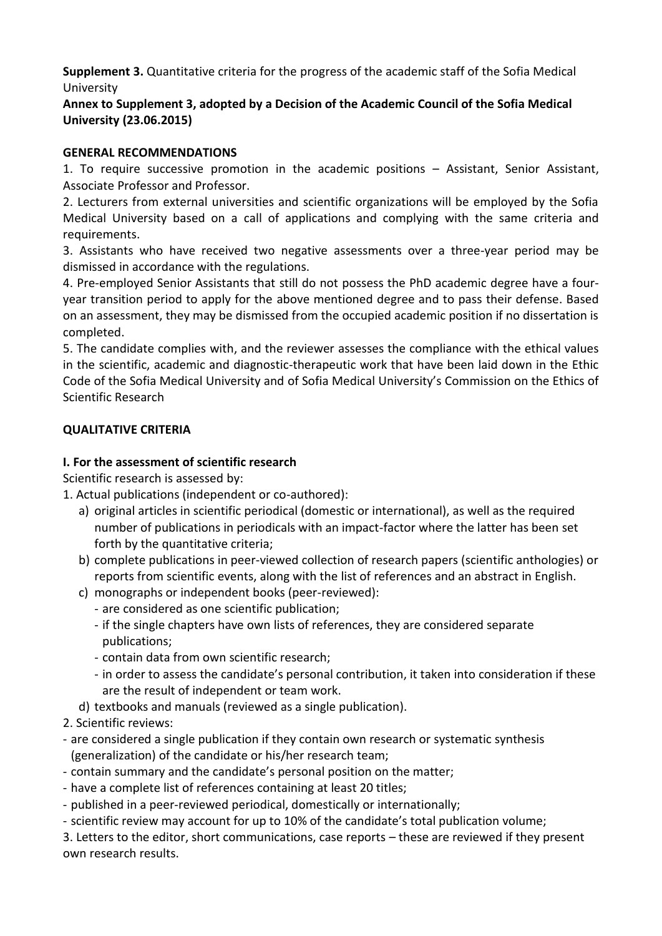**Supplement 3.** Quantitative criteria for the progress of the academic staff of the Sofia Medical University

# **Annex to Supplement 3, adopted by a Decision of the Academic Council of the Sofia Medical University (23.06.2015)**

### **GENERAL RECOMMENDATIONS**

1. To require successive promotion in the academic positions – Assistant, Senior Assistant, Associate Professor and Professor.

2. Lecturers from external universities and scientific organizations will be employed by the Sofia Medical University based on a call of applications and complying with the same criteria and requirements.

3. Assistants who have received two negative assessments over a three-year period may be dismissed in accordance with the regulations.

4. Pre-employed Senior Assistants that still do not possess the PhD academic degree have a fouryear transition period to apply for the above mentioned degree and to pass their defense. Based on an assessment, they may be dismissed from the occupied academic position if no dissertation is completed.

5. The candidate complies with, and the reviewer assesses the compliance with the ethical values in the scientific, academic and diagnostic-therapeutic work that have been laid down in the Ethic Code of the Sofia Medical University and of Sofia Medical University's Commission on the Ethics of Scientific Research

## **QUALITATIVE CRITERIA**

## **I. For the assessment of scientific research**

Scientific research is assessed by:

- 1. Actual publications (independent or co-authored):
	- a) original articles in scientific periodical (domestic or international), as well as the required number of publications in periodicals with an impact-factor where the latter has been set forth by the quantitative criteria;
	- b) complete publications in peer-viewed collection of research papers (scientific anthologies) or reports from scientific events, along with the list of references and an abstract in English.
	- c) monographs or independent books (peer-reviewed):
		- are considered as one scientific publication;
		- if the single chapters have own lists of references, they are considered separate publications;
		- contain data from own scientific research;
		- in order to assess the candidate's personal contribution, it taken into consideration if these are the result of independent or team work.
	- d) textbooks and manuals (reviewed as a single publication).
- 2. Scientific reviews:
- are considered a single publication if they contain own research or systematic synthesis (generalization) of the candidate or his/her research team;
- contain summary and the candidate's personal position on the matter;
- have a complete list of references containing at least 20 titles;
- published in a peer-reviewed periodical, domestically or internationally;
- scientific review may account for up to 10% of the candidate's total publication volume;

3. Letters to the editor, short communications, case reports – these are reviewed if they present own research results.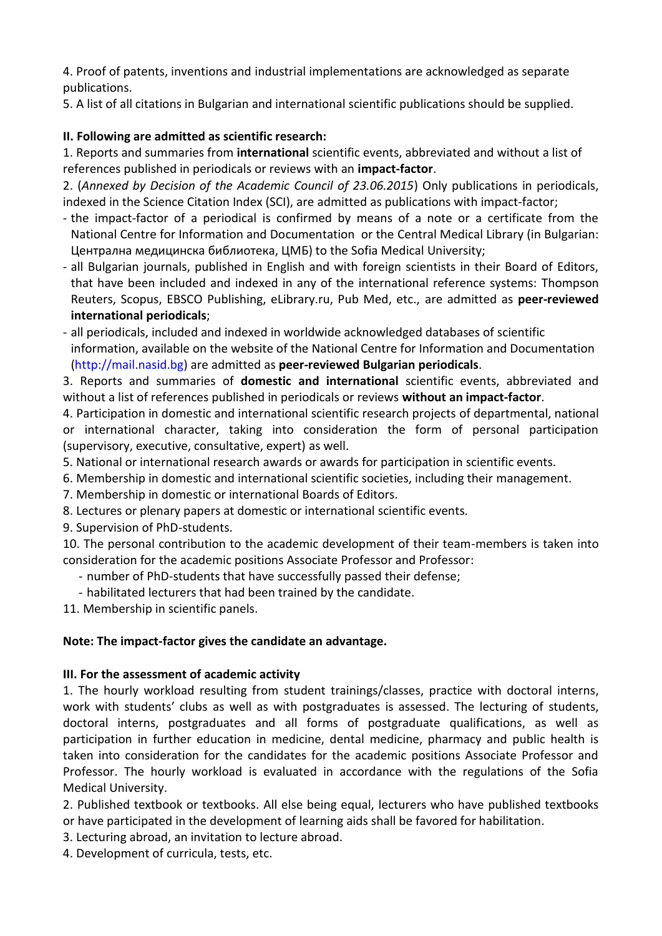4. Proof of patents, inventions and industrial implementations are acknowledged as separate publications.

5. A list of all citations in Bulgarian and international scientific publications should be supplied.

# **II. Following are admitted as scientific research:**

1. Reports and summaries from **international** scientific events, abbreviated and without a list of references published in periodicals or reviews with an **impact-factor**.

2. (*Annexed by Decision of the Academic Council of 23.06.2015*) Only publications in periodicals, indexed in the Science Citation Index (SCI), are admitted as publications with impact-factor;

- the impact-factor of a periodical is confirmed by means of a note or a certificate from the National Centre for Information and Documentation or the Central Medical Library (in Bulgarian: Централна медицинска библиотека, ЦМБ) to the Sofia Medical University;
- all Bulgarian journals, published in English and with foreign scientists in their Board of Editors, that have been included and indexed in any of the international reference systems: Thompson Reuters, Scopus, EBSCO Publishing, eLibrary.ru, Pub Med, etc., are admitted as **peer-reviewed international periodicals**;
- all periodicals, included and indexed in worldwide acknowledged databases of scientific information, available on the website of the National Centre for Information and Documentation (http://mail.nasid.bg) are admitted as **peer-reviewed Bulgarian periodicals**.

3. Reports and summaries of **domestic and international** scientific events, abbreviated and without a list of references published in periodicals or reviews **without an impact-factor**.

4. Participation in domestic and international scientific research projects of departmental, national or international character, taking into consideration the form of personal participation (supervisory, executive, consultative, expert) as well.

- 5. National or international research awards or awards for participation in scientific events.
- 6. Membership in domestic and international scientific societies, including their management.
- 7. Membership in domestic or international Boards of Editors.
- 8. Lectures or plenary papers at domestic or international scientific events.
- 9. Supervision of PhD-students.

10. The personal contribution to the academic development of their team-members is taken into consideration for the academic positions Associate Professor and Professor:

- number of PhD-students that have successfully passed their defense;
- habilitated lecturers that had been trained by the candidate.

11. Membership in scientific panels.

### **Note: The impact-factor gives the candidate an advantage.**

### **III. For the assessment of academic activity**

1. The hourly workload resulting from student trainings/classes, practice with doctoral interns, work with students' clubs as well as with postgraduates is assessed. The lecturing of students, doctoral interns, postgraduates and all forms of postgraduate qualifications, as well as participation in further education in medicine, dental medicine, pharmacy and public health is taken into consideration for the candidates for the academic positions Associate Professor and Professor. The hourly workload is evaluated in accordance with the regulations of the Sofia Medical University.

2. Published textbook or textbooks. All else being equal, lecturers who have published textbooks or have participated in the development of learning aids shall be favored for habilitation.

- 3. Lecturing abroad, an invitation to lecture abroad.
- 4. Development of curricula, tests, etc.